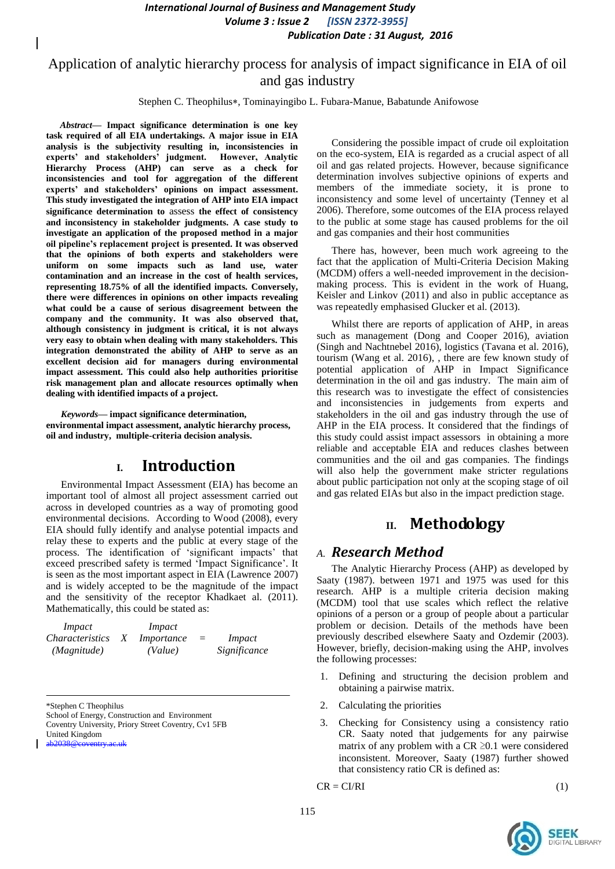*International Journal of Business and Management Study Volume 3 : Issue 2 [ISSN 2372-3955] Publication Date : 31 August, 2016*

## Application of analytic hierarchy process for analysis of impact significance in EIA of oil and gas industry

Stephen C. Theophilus\*, Tominayingibo L. Fubara-Manue, Babatunde Anifowose

*Abstract***— Impact significance determination is one key task required of all EIA undertakings. A major issue in EIA analysis is the subjectivity resulting in, inconsistencies in experts' and stakeholders' judgment. However, Analytic Hierarchy Process (AHP) can serve as a check for inconsistencies and tool for aggregation of the different experts' and stakeholders' opinions on impact assessment. This study investigated the integration of AHP into EIA impact significance determination to** assess **the effect of consistency and inconsistency in stakeholder judgments. A case study to investigate an application of the proposed method in a major oil pipeline's replacement project is presented. It was observed that the opinions of both experts and stakeholders were uniform on some impacts such as land use, water contamination and an increase in the cost of health services, representing 18.75% of all the identified impacts. Conversely, there were differences in opinions on other impacts revealing what could be a cause of serious disagreement between the company and the community. It was also observed that, although consistency in judgment is critical, it is not always very easy to obtain when dealing with many stakeholders. This integration demonstrated the ability of AHP to serve as an excellent decision aid for managers during environmental impact assessment. This could also help authorities prioritise risk management plan and allocate resources optimally when dealing with identified impacts of a project.**

*Keywords—* **impact significance determination, environmental impact assessment, analytic hierarchy process, oil and industry, multiple-criteria decision analysis.**

### **I. Introduction**

Environmental Impact Assessment (EIA) has become an important tool of almost all project assessment carried out across in developed countries as a way of promoting good environmental decisions. According to Wood (2008), every EIA should fully identify and analyse potential impacts and relay these to experts and the public at every stage of the process. The identification of 'significant impacts' that exceed prescribed safety is termed 'Impact Significance'. It is seen as the most important aspect in EIA (Lawrence 2007) and is widely accepted to be the magnitude of the impact and the sensitivity of the receptor Khadkaet al. (2011). Mathematically, this could be stated as:

| <i>Impact</i>          |   | Impact     |     |              |
|------------------------|---|------------|-----|--------------|
| <i>Characteristics</i> | X | Importance | $=$ | Impact       |
| (Magnitude)            |   | (Value)    |     | Significance |

\*Stephen C Theophilus

School of Energy, Construction and Environment Coventry University, Priory Street Coventry, Cv1 5FB United Kingdom

 $ab2038@coventry.$ 

Considering the possible impact of crude oil exploitation on the eco-system, EIA is regarded as a crucial aspect of all oil and gas related projects. However, because significance determination involves subjective opinions of experts and members of the immediate society, it is prone to inconsistency and some level of uncertainty (Tenney et al 2006). Therefore, some outcomes of the EIA process relayed to the public at some stage has caused problems for the oil and gas companies and their host communities

There has, however, been much work agreeing to the fact that the application of Multi-Criteria Decision Making (MCDM) offers a well-needed improvement in the decisionmaking process. This is evident in the work of Huang, Keisler and Linkov (2011) and also in public acceptance as was repeatedly emphasised Glucker et al. (2013).

Whilst there are reports of application of AHP, in areas such as management (Dong and Cooper 2016), aviation (Singh and Nachtnebel 2016), logistics (Tavana et al. 2016), tourism (Wang et al. 2016), , there are few known study of potential application of AHP in Impact Significance determination in the oil and gas industry. The main aim of this research was to investigate the effect of consistencies and inconsistencies in judgements from experts and stakeholders in the oil and gas industry through the use of AHP in the EIA process. It considered that the findings of this study could assist impact assessors in obtaining a more reliable and acceptable EIA and reduces clashes between communities and the oil and gas companies. The findings will also help the government make stricter regulations about public participation not only at the scoping stage of oil and gas related EIAs but also in the impact prediction stage.

## **II. Methodology**

#### *A. Research Method*

The Analytic Hierarchy Process (AHP) as developed by Saaty (1987). between 1971 and 1975 was used for this research. AHP is a multiple criteria decision making (MCDM) tool that use scales which reflect the relative opinions of a person or a group of people about a particular problem or decision. Details of the methods have been previously described elsewhere Saaty and Ozdemir (2003). However, briefly, decision-making using the AHP, involves the following processes:

- 1. Defining and structuring the decision problem and obtaining a pairwise matrix.
- 2. Calculating the priorities
- 3. Checking for Consistency using a consistency ratio CR. Saaty noted that judgements for any pairwise matrix of any problem with a  $CR \ge 0.1$  were considered inconsistent. Moreover, Saaty (1987) further showed that consistency ratio CR is defined as:

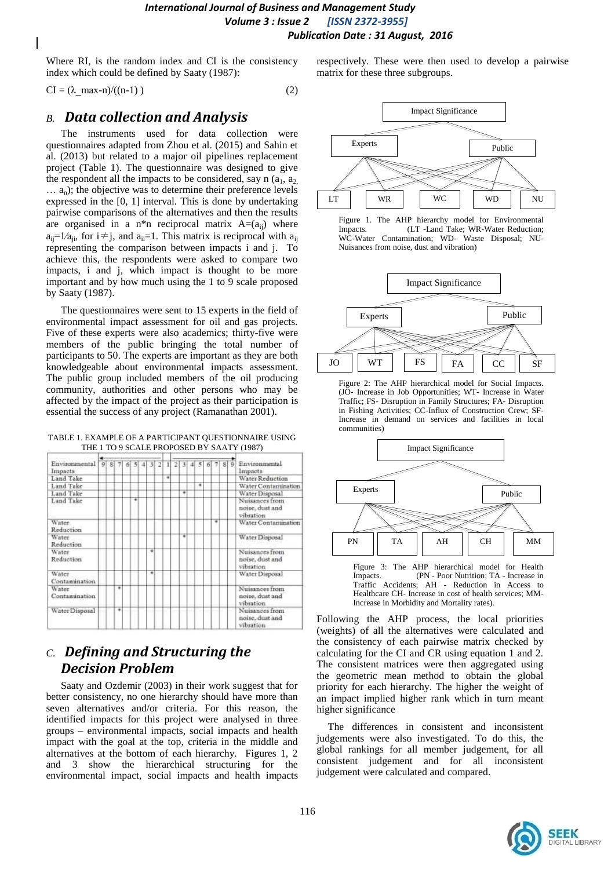*International Journal of Business and Management Study Volume 3 : Issue 2 [ISSN 2372-3955] Publication Date : 31 August, 2016*

Where RI, is the random index and CI is the consistency index which could be defined by Saaty (1987):

 $CI = (\lambda \max-n)/((n-1))$  (2)

## *B. Data collection and Analysis*

The instruments used for data collection were questionnaires adapted from Zhou et al. (2015) and Sahin et al. (2013) but related to a major oil pipelines replacement project (Table 1). The questionnaire was designed to give the respondent all the impacts to be considered, say n  $(a_1, a_2)$  $\ldots$  a<sub>n</sub>); the objective was to determine their preference levels expressed in the [0, 1] interval. This is done by undertaking pairwise comparisons of the alternatives and then the results are organised in a n\*n reciprocal matrix  $A=(a_{ij})$  where  $a_{ii}$ =1/ $a_{ii}$ , for i  $\neq j$ , and  $a_{ii}$ =1. This matrix is reciprocal with  $a_{ii}$ representing the comparison between impacts i and j. To achieve this, the respondents were asked to compare two impacts, i and j, which impact is thought to be more important and by how much using the 1 to 9 scale proposed by Saaty (1987).

The questionnaires were sent to 15 experts in the field of environmental impact assessment for oil and gas projects. Five of these experts were also academics; thirty-five were members of the public bringing the total number of participants to 50. The experts are important as they are both knowledgeable about environmental impacts assessment. The public group included members of the oil producing community, authorities and other persons who may be affected by the impact of the project as their participation is essential the success of any project (Ramanathan 2001).

TABLE 1. EXAMPLE OF A PARTICIPANT QUESTIONNAIRE USING THE 1 TO 9 SCALE PROPOSED BY SAATY (1987)



# *C. Defining and Structuring the Decision Problem*

Saaty and Ozdemir (2003) in their work suggest that for better consistency, no one hierarchy should have more than seven alternatives and/or criteria. For this reason, the identified impacts for this project were analysed in three groups – environmental impacts, social impacts and health impact with the goal at the top, criteria in the middle and alternatives at the bottom of each hierarchy. Figures 1, 2 and 3 show the hierarchical structuring for the environmental impact, social impacts and health impacts

respectively. These were then used to develop a pairwise matrix for these three subgroups.







Figure 2: The AHP hierarchical model for Social Impacts. (JO- Increase in Job Opportunities; WT- Increase in Water Traffic; FS- Disruption in Family Structures; FA- Disruption in Fishing Activities; CC-Influx of Construction Crew; SF-Increase in demand on services and facilities in local communities)



Figure 3: The AHP hierarchical model for Health Impacts. (PN - Poor Nutrition; TA - Increase in Traffic Accidents; AH - Reduction in Access to Healthcare CH- Increase in cost of health services; MM-Increase in Morbidity and Mortality rates).

Following the AHP process, the local priorities (weights) of all the alternatives were calculated and the consistency of each pairwise matrix checked by calculating for the CI and CR using equation 1 and 2. The consistent matrices were then aggregated using the geometric mean method to obtain the global priority for each hierarchy. The higher the weight of an impact implied higher rank which in turn meant higher significance

The differences in consistent and inconsistent judgements were also investigated. To do this, the global rankings for all member judgement, for all consistent judgement and for all inconsistent judgement were calculated and compared.

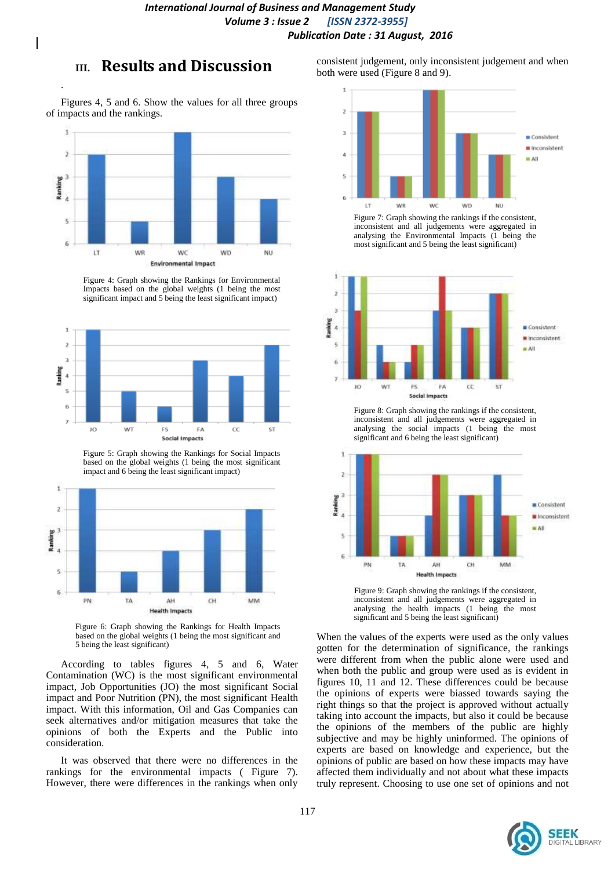# **III. Results and Discussion**

.

Figures 4, 5 and 6. Show the values for all three groups of impacts and the rankings.



Figure 4: Graph showing the Rankings for Environmental Impacts based on the global weights (1 being the most significant impact and 5 being the least significant impact)



Figure 5: Graph showing the Rankings for Social Impacts based on the global weights (1 being the most significant impact and 6 being the least significant impact)



Figure 6: Graph showing the Rankings for Health Impacts based on the global weights (1 being the most significant and 5 being the least significant)

According to tables figures 4, 5 and 6, Water Contamination (WC) is the most significant environmental impact, Job Opportunities (JO) the most significant Social impact and Poor Nutrition (PN), the most significant Health impact. With this information, Oil and Gas Companies can seek alternatives and/or mitigation measures that take the opinions of both the Experts and the Public into consideration.

It was observed that there were no differences in the rankings for the environmental impacts ( Figure 7). However, there were differences in the rankings when only

consistent judgement, only inconsistent judgement and when both were used (Figure 8 and 9).



Figure 7: Graph showing the rankings if the consistent, inconsistent and all judgements were aggregated in analysing the Environmental Impacts (1 being the most significant and 5 being the least significant)



Figure 8: Graph showing the rankings if the consistent, inconsistent and all judgements were aggregated in analysing the social impacts (1 being the most significant and 6 being the least significant)



Figure 9: Graph showing the rankings if the consistent, inconsistent and all judgements were aggregated in analysing the health impacts (1 being the most significant and 5 being the least significant)

When the values of the experts were used as the only values gotten for the determination of significance, the rankings were different from when the public alone were used and when both the public and group were used as is evident in figures 10, 11 and 12. These differences could be because the opinions of experts were biassed towards saying the right things so that the project is approved without actually taking into account the impacts, but also it could be because the opinions of the members of the public are highly subjective and may be highly uninformed. The opinions of experts are based on knowledge and experience, but the opinions of public are based on how these impacts may have affected them individually and not about what these impacts truly represent. Choosing to use one set of opinions and not

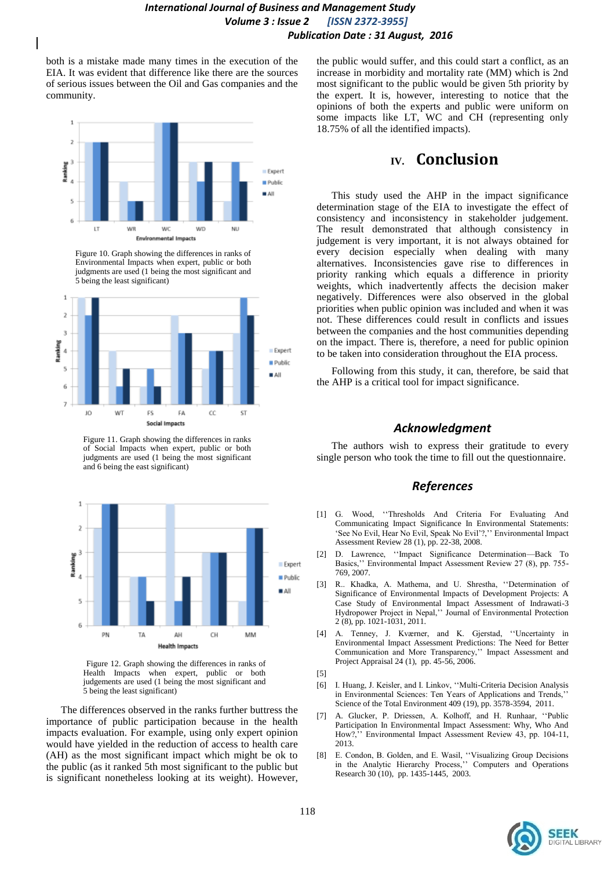both is a mistake made many times in the execution of the EIA. It was evident that difference like there are the sources of serious issues between the Oil and Gas companies and the community.



Figure 10. Graph showing the differences in ranks of Environmental Impacts when expert, public or both judgments are used (1 being the most significant and 5 being the least significant)



Figure 11. Graph showing the differences in ranks of Social Impacts when expert, public or both judgments are used (1 being the most significant and 6 being the east significant)



Figure 12. Graph showing the differences in ranks of Health Impacts when expert, public or both judgements are used (1 being the most significant and 5 being the least significant)

The differences observed in the ranks further buttress the importance of public participation because in the health impacts evaluation. For example, using only expert opinion would have yielded in the reduction of access to health care (AH) as the most significant impact which might be ok to the public (as it ranked 5th most significant to the public but is significant nonetheless looking at its weight). However,

the public would suffer, and this could start a conflict, as an increase in morbidity and mortality rate (MM) which is 2nd most significant to the public would be given 5th priority by the expert. It is, however, interesting to notice that the opinions of both the experts and public were uniform on some impacts like LT, WC and CH (representing only 18.75% of all the identified impacts).

## **IV. Conclusion**

This study used the AHP in the impact significance determination stage of the EIA to investigate the effect of consistency and inconsistency in stakeholder judgement. The result demonstrated that although consistency in judgement is very important, it is not always obtained for every decision especially when dealing with many alternatives. Inconsistencies gave rise to differences in priority ranking which equals a difference in priority weights, which inadvertently affects the decision maker negatively. Differences were also observed in the global priorities when public opinion was included and when it was not. These differences could result in conflicts and issues between the companies and the host communities depending on the impact. There is, therefore, a need for public opinion to be taken into consideration throughout the EIA process.

Following from this study, it can, therefore, be said that the AHP is a critical tool for impact significance.

#### *Acknowledgment*

The authors wish to express their gratitude to every single person who took the time to fill out the questionnaire.

#### *References*

- [1] G. Wood, ''Thresholds And Criteria For Evaluating And Communicating Impact Significance In Environmental Statements: 'See No Evil, Hear No Evil, Speak No Evil'?,'' Environmental Impact Assessment Review 28 (1), pp. 22-38, 2008.
- [2] D. Lawrence, ''Impact Significance Determination—Back To Basics,'' Environmental Impact Assessment Review 27 (8), pp. 755- 769, 2007.
- [3] R.. Khadka, A. Mathema, and U. Shrestha, ''Determination of Significance of Environmental Impacts of Development Projects: A Case Study of Environmental Impact Assessment of Indrawati-3 Hydropower Project in Nepal,'' Journal of Environmental Protection 2 (8), pp. 1021-1031, 2011.
- [4] A. Tenney, J. Kværner, and K. Gjerstad, ''Uncertainty in Environmental Impact Assessment Predictions: The Need for Better Communication and More Transparency,'' Impact Assessment and Project Appraisal 24 (1), pp. 45-56, 2006.
- [5]
- [6] I. Huang, J. Keisler, and I. Linkov, ''Multi-Criteria Decision Analysis in Environmental Sciences: Ten Years of Applications and Trends,'' Science of the Total Environment 409 (19), pp. 3578-3594, 2011.
- [7] A. Glucker, P. Driessen, A. Kolhoff, and H. Runhaar, ''Public Participation In Environmental Impact Assessment: Why, Who And How?,'' Environmental Impact Assessment Review 43, pp. 104-11, 2013.
- [8] E. Condon, B. Golden, and E. Wasil, ''Visualizing Group Decisions in the Analytic Hierarchy Process,'' Computers and Operations Research 30 (10), pp. 1435-1445, 2003.